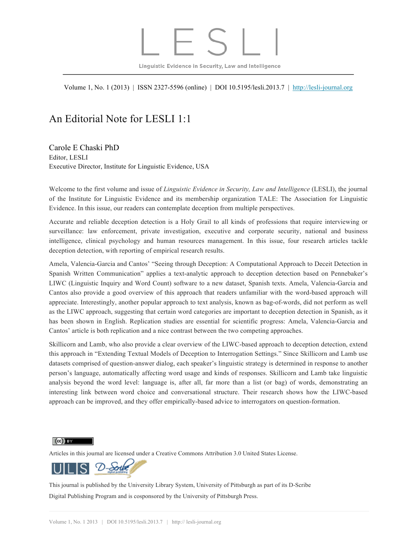## Linguistic Evidence in Security, Law and Intelligence

Volume 1, No. 1 (2013) | ISSN 2327-5596 (online) | DOI 10.5195/lesli.2013.7 | http://lesli-journal.org

## An Editorial Note for LESLI 1:1

Carole E Chaski PhD Editor, LESLI Executive Director, Institute for Linguistic Evidence, USA

Welcome to the first volume and issue of *Linguistic Evidence in Security, Law and Intelligence* (LESLI), the journal of the Institute for Linguistic Evidence and its membership organization TALE: The Association for Linguistic Evidence. In this issue, our readers can contemplate deception from multiple perspectives.

Accurate and reliable deception detection is a Holy Grail to all kinds of professions that require interviewing or surveillance: law enforcement, private investigation, executive and corporate security, national and business intelligence, clinical psychology and human resources management. In this issue, four research articles tackle deception detection, with reporting of empirical research results.

Amela, Valencia-Garcia and Cantos' "Seeing through Deception: A Computational Approach to Deceit Detection in Spanish Written Communication" applies a text-analytic approach to deception detection based on Pennebaker's LIWC (Linguistic Inquiry and Word Count) software to a new dataset, Spanish texts. Amela, Valencia-Garcia and Cantos also provide a good overview of this approach that readers unfamiliar with the word-based approach will appreciate. Interestingly, another popular approach to text analysis, known as bag-of-words, did not perform as well as the LIWC approach, suggesting that certain word categories are important to deception detection in Spanish, as it has been shown in English. Replication studies are essential for scientific progress: Amela, Valencia-Garcia and Cantos' article is both replication and a nice contrast between the two competing approaches.

Skillicorn and Lamb, who also provide a clear overview of the LIWC-based approach to deception detection, extend this approach in "Extending Textual Models of Deception to Interrogation Settings." Since Skillicorn and Lamb use datasets comprised of question-answer dialog, each speaker's linguistic strategy is determined in response to another person's language, automatically affecting word usage and kinds of responses. Skillicorn and Lamb take linguistic analysis beyond the word level: language is, after all, far more than a list (or bag) of words, demonstrating an interesting link between word choice and conversational structure. Their research shows how the LIWC-based approach can be improved, and they offer empirically-based advice to interrogators on question-formation.

 $(cc)$  BY

Articles in this journal are licensed under a Creative Commons Attribution 3.0 United States License.



This journal is published by the University Library System, University of Pittsburgh as part of its D-Scribe Digital Publishing Program and is cosponsored by the University of Pittsburgh Press.